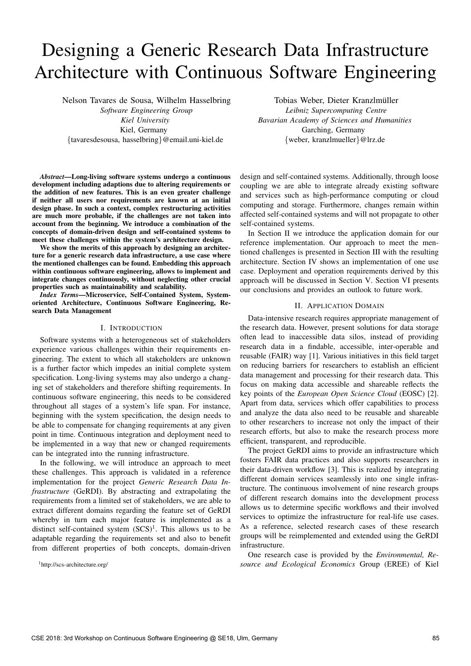# Designing a Generic Research Data Infrastructure Architecture with Continuous Software Engineering

Nelson Tavares de Sousa, Wilhelm Hasselbring *Software Engineering Group Kiel University* Kiel, Germany *{*tavaresdesousa, hasselbring*}*@email.uni-kiel.de

*Abstract*—Long-living software systems undergo a continuous development including adaptions due to altering requirements or the addition of new features. This is an even greater challenge if neither all users nor requirements are known at an initial design phase. In such a context, complex restructuring activities are much more probable, if the challenges are not taken into account from the beginning. We introduce a combination of the concepts of domain-driven design and self-contained systems to meet these challenges within the system's architecture design.

We show the merits of this approach by designing an architecture for a generic research data infrastructure, a use case where the mentioned challenges can be found. Embedding this approach within continuous software engineering, allows to implement and integrate changes continuously, without neglecting other crucial properties such as maintainability and scalability.

*Index Terms*—Microservice, Self-Contained System, Systemoriented Architecture, Continuous Software Engineering, Research Data Management

#### I. INTRODUCTION

Software systems with a heterogeneous set of stakeholders experience various challenges within their requirements engineering. The extent to which all stakeholders are unknown is a further factor which impedes an initial complete system specification. Long-living systems may also undergo a changing set of stakeholders and therefore shifting requirements. In continuous software engineering, this needs to be considered throughout all stages of a system's life span. For instance, beginning with the system specification, the design needs to be able to compensate for changing requirements at any given point in time. Continuous integration and deployment need to be implemented in a way that new or changed requirements can be integrated into the running infrastructure.

In the following, we will introduce an approach to meet these challenges. This approach is validated in a reference implementation for the project *Generic Research Data Infrastructure* (GeRDI). By abstracting and extrapolating the requirements from a limited set of stakeholders, we are able to extract different domains regarding the feature set of GeRDI whereby in turn each major feature is implemented as a distinct self-contained system  $(SCS)^1$ . This allows us to be adaptable regarding the requirements set and also to benefit from different properties of both concepts, domain-driven

[1http://scs-architecture.org/](http://scs-architecture.org/)

Tobias Weber, Dieter Kranzlmüller *Leibniz Supercomputing Centre Bavarian Academy of Sciences and Humanities* Garching, Germany *{*weber, kranzlmueller*}*@lrz.de

design and self-contained systems. Additionally, through loose coupling we are able to integrate already existing software and services such as high-performance computing or cloud computing and storage. Furthermore, changes remain within affected self-contained systems and will not propagate to other self-contained systems.

In [Section II](#page--1-1) we introduce the application domain for our reference implementation. Our approach to meet the mentioned challenges is presented in [Section III](#page--1-2) with the resulting architecture. [Section IV](#page--1-3) shows an implementation of one use case. Deployment and operation requirements derived by this approach will be discussed in [Section V.](#page--1-4) [Section VI](#page--1-5) presents our conclusions and provides an outlook to future work.

## II. APPLICATION DOMAIN

Data-intensive research requires appropriate management of the research data. However, present solutions for data storage often lead to inaccessible data silos, instead of providing research data in a findable, accessible, inter-operable and reusable (FAIR) way [\[1\]](#page--1-6). Various initiatives in this field target on reducing barriers for researchers to establish an efficient data management and processing for their research data. This focus on making data accessible and shareable reflects the key points of the *European Open Science Cloud* (EOSC) [\[2\]](#page--1-7). Apart from data, services which offer capabilities to process and analyze the data also need to be reusable and shareable to other researchers to increase not only the impact of their research efforts, but also to make the research process more efficient, transparent, and reproducible.

The project GeRDI aims to provide an infrastructure which fosters FAIR data practices and also supports researchers in their data-driven workflow [\[3\]](#page--1-8). This is realized by integrating different domain services seamlessly into one single infrastructure. The continuous involvement of nine research groups of different research domains into the development process allows us to determine specific workflows and their involved services to optimize the infrastructure for real-life use cases. As a reference, selected research cases of these research groups will be reimplemented and extended using the GeRDI infrastructure.

One research case is provided by the *Environmental, Resource and Ecological Economics* Group (EREE) of Kiel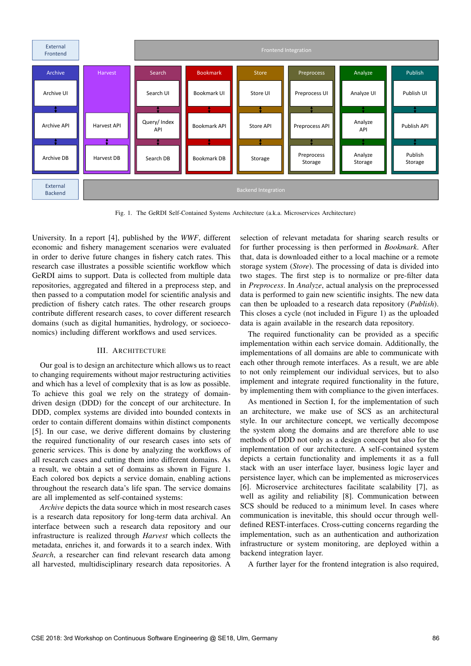

Fig. 1. The GeRDI Self-Contained Systems Architecture (a.k.a. Microservices Architecture)

University. In a report [\[4\]](#page--1-9), published by the *WWF*, different economic and fishery management scenarios were evaluated in order to derive future changes in fishery catch rates. This research case illustrates a possible scientific workflow which GeRDI aims to support. Data is collected from multiple data repositories, aggregated and filtered in a preprocess step, and then passed to a computation model for scientific analysis and prediction of fishery catch rates. The other research groups contribute different research cases, to cover different research domains (such as digital humanities, hydrology, or socioeconomics) including different workflows and used services.

## III. ARCHITECTURE

Our goal is to design an architecture which allows us to react to changing requirements without major restructuring activities and which has a level of complexity that is as low as possible. To achieve this goal we rely on the strategy of domaindriven design (DDD) for the concept of our architecture. In DDD, complex systems are divided into bounded contexts in order to contain different domains within distinct components [\[5\]](#page--1-10). In our case, we derive different domains by clustering the required functionality of our research cases into sets of generic services. This is done by analyzing the workflows of all research cases and cutting them into different domains. As a result, we obtain a set of domains as shown in [Figure 1.](#page--1-11) Each colored box depicts a service domain, enabling actions throughout the research data's life span. The service domains are all implemented as self-contained systems:

*Archive* depicts the data source which in most research cases is a research data repository for long-term data archival. An interface between such a research data repository and our infrastructure is realized through *Harvest* which collects the metadata, enriches it, and forwards it to a search index. With *Search*, a researcher can find relevant research data among all harvested, multidisciplinary research data repositories. A

selection of relevant metadata for sharing search results or for further processing is then performed in *Bookmark*. After that, data is downloaded either to a local machine or a remote storage system (*Store*). The processing of data is divided into two stages. The first step is to normalize or pre-filter data in *Preprocess*. In *Analyze*, actual analysis on the preprocessed data is performed to gain new scientific insights. The new data can then be uploaded to a research data repository (*Publish*). This closes a cycle (not included in [Figure 1\)](#page--1-11) as the uploaded data is again available in the research data repository.

The required functionality can be provided as a specific implementation within each service domain. Additionally, the implementations of all domains are able to communicate with each other through remote interfaces. As a result, we are able to not only reimplement our individual services, but to also implement and integrate required functionality in the future, by implementing them with compliance to the given interfaces.

As mentioned in [Section I,](#page--1-12) for the implementation of such an architecture, we make use of SCS as an architectural style. In our architecture concept, we vertically decompose the system along the domains and are therefore able to use methods of DDD not only as a design concept but also for the implementation of our architecture. A self-contained system depicts a certain functionality and implements it as a full stack with an user interface layer, business logic layer and persistence layer, which can be implemented as microservices [\[6\]](#page--1-13). Microservice architectures facilitate scalability [\[7\]](#page--1-14), as well as agility and reliability [\[8\]](#page--1-15). Communication between SCS should be reduced to a minimum level. In cases where communication is inevitable, this should occur through welldefined REST-interfaces. Cross-cutting concerns regarding the implementation, such as an authentication and authorization infrastructure or system monitoring, are deployed within a backend integration layer.

A further layer for the frontend integration is also required,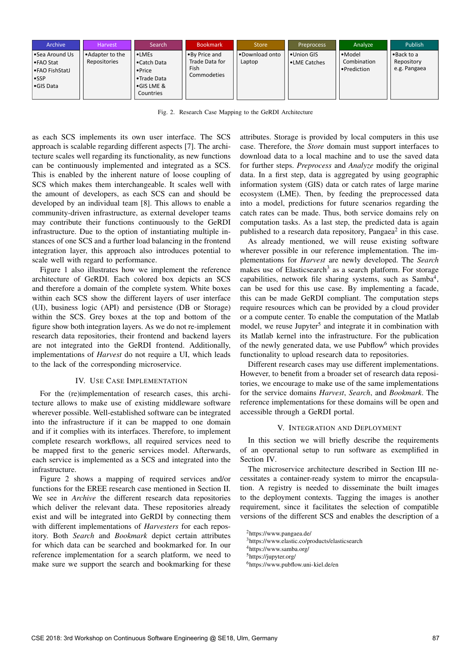| Archive                                                                      | <b>Harvest</b>                    | Search                                                                                                 | <b>Bookmark</b>                                        | <b>Store</b>             | <b>Preprocess</b>                 | Analyze                                                | <b>Publish</b>                              |
|------------------------------------------------------------------------------|-----------------------------------|--------------------------------------------------------------------------------------------------------|--------------------------------------------------------|--------------------------|-----------------------------------|--------------------------------------------------------|---------------------------------------------|
| •Sea Around Us<br>I • FAO Stat<br>• FAO FishStatJ<br><b>SSP</b><br>•GIS Data | ∣ •Adapter to the<br>Repositories | $\cdot$ LMEs<br>Catch Data<br>$\bullet$ Price<br><b>• Trade Data</b><br>$\cdot$ GIS LME &<br>Countries | •By Price and<br>Trade Data for<br>Fish<br>Commodeties | .Download onto<br>Laptop | Union GIS<br><b>.</b> LME Catches | $\bullet$ Model<br>Combination<br>$\bullet$ Prediction | l • Back to a<br>Repository<br>e.g. Pangaea |

Fig. 2. Research Case Mapping to the GeRDI Architecture

as each SCS implements its own user interface. The SCS approach is scalable regarding different aspects [\[7\]](#page--1-14). The architecture scales well regarding its functionality, as new functions can be continuously implemented and integrated as a SCS. This is enabled by the inherent nature of loose coupling of SCS which makes them interchangeable. It scales well with the amount of developers, as each SCS can and should be developed by an individual team [\[8\]](#page--1-15). This allows to enable a community-driven infrastructure, as external developer teams may contribute their functions continuously to the GeRDI infrastructure. Due to the option of instantiating multiple instances of one SCS and a further load balancing in the frontend integration layer, this approach also introduces potential to scale well with regard to performance.

[Figure 1](#page--1-11) also illustrates how we implement the reference architecture of GeRDI. Each colored box depicts an SCS and therefore a domain of the complete system. White boxes within each SCS show the different layers of user interface (UI), business logic (API) and persistence (DB or Storage) within the SCS. Grey boxes at the top and bottom of the figure show both integration layers. As we do not re-implement research data repositories, their frontend and backend layers are not integrated into the GeRDI frontend. Additionally, implementations of *Harvest* do not require a UI, which leads to the lack of the corresponding microservice.

## IV. USE CASE IMPLEMENTATION

For the (re)implementation of research cases, this architecture allows to make use of existing middleware software wherever possible. Well-established software can be integrated into the infrastructure if it can be mapped to one domain and if it complies with its interfaces. Therefore, to implement complete research workflows, all required services need to be mapped first to the generic services model. Afterwards, each service is implemented as a SCS and integrated into the infrastructure.

[Figure 2](#page--1-16) shows a mapping of required services and/or functions for the EREE research case mentioned in [Section II.](#page--1-1) We see in *Archive* the different research data repositories which deliver the relevant data. These repositories already exist and will be integrated into GeRDI by connecting them with different implementations of *Harvesters* for each repository. Both *Search* and *Bookmark* depict certain attributes for which data can be searched and bookmarked for. In our reference implementation for a search platform, we need to make sure we support the search and bookmarking for these

attributes. Storage is provided by local computers in this use case. Therefore, the *Store* domain must support interfaces to download data to a local machine and to use the saved data for further steps. *Preprocess* and *Analyze* modify the original data. In a first step, data is aggregated by using geographic information system (GIS) data or catch rates of large marine ecosystem (LME). Then, by feeding the preprocessed data into a model, predictions for future scenarios regarding the catch rates can be made. Thus, both service domains rely on computation tasks. As a last step, the predicted data is again published to a research data repository, Pangae $a<sup>2</sup>$  in this case.

As already mentioned, we will reuse existing software wherever possible in our reference implementation. The implementations for *Harvest* are newly developed. The *Search* makes use of Elasticsearch<sup>3</sup> as a search platform. For storage capabilities, network file sharing systems, such as  $Samba<sup>4</sup>$ , can be used for this use case. By implementing a facade, this can be made GeRDI compliant. The computation steps require resources which can be provided by a cloud provider or a compute center. To enable the computation of the Matlab model, we reuse Jupyter<sup>[5](#page--1-20)</sup> and integrate it in combination with its Matlab kernel into the infrastructure. For the publication of the newly generated data, we use  $\text{Pubflow}^6$  which provides functionality to upload research data to repositories.

Different research cases may use different implementations. However, to benefit from a broader set of research data repositories, we encourage to make use of the same implementations for the service domains *Harvest*, *Search*, and *Bookmark*. The reference implementations for these domains will be open and accessible through a GeRDI portal.

#### V. INTEGRATION AND DEPLOYMENT

In this section we will briefly describe the requirements of an operational setup to run software as exemplified in [Section IV.](#page--1-3)

The microservice architecture described in [Section III](#page--1-2) necessitates a container-ready system to mirror the encapsulation. A registry is needed to disseminate the built images to the deployment contexts. Tagging the images is another requirement, since it facilitates the selection of compatible versions of the different SCS and enables the description of a

[<sup>2</sup>https://www.pangaea.de/](https://www.pangaea.de/)

[<sup>3</sup>https://www.elastic.co/products/elasticsearch](https://www.elastic.co/products/elasticsearch)

[<sup>4</sup>https://www.samba.org/](https://www.samba.org/)

[<sup>5</sup>https://jupyter.org/](https://jupyter.org/)

[<sup>6</sup>https://www.pubflow.uni-kiel.de/en](https://www.pubflow.uni-kiel.de/en)